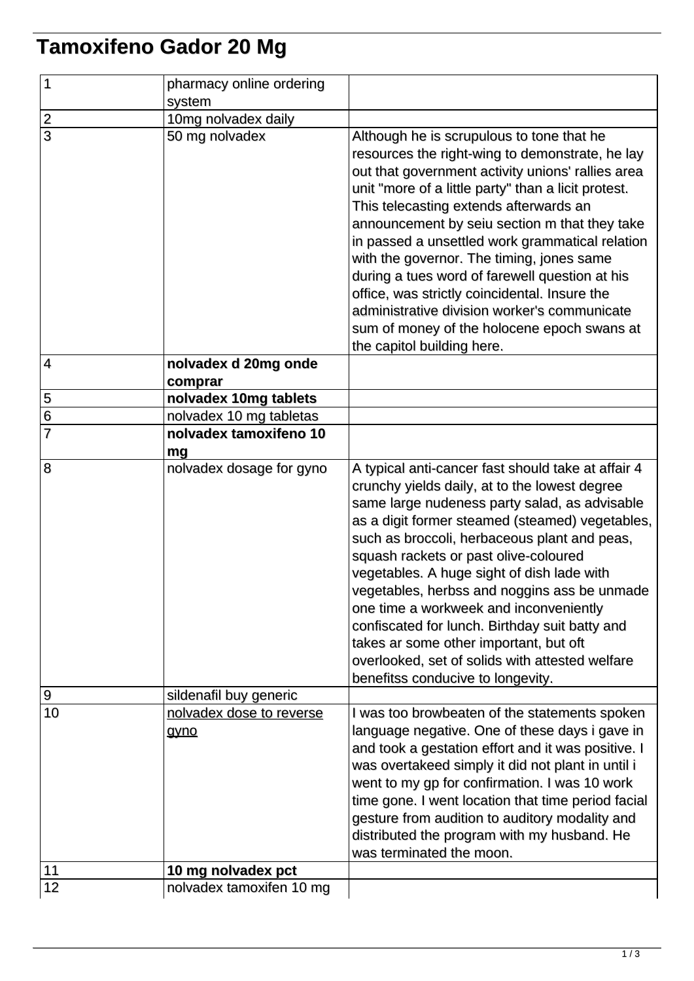## **Tamoxifeno Gador 20 Mg**

| $\overline{1}$ | pharmacy online ordering<br>system |                                                                                                                                                                                                                                                                                                                                                                                                                                                                                                                                                                                                                                     |
|----------------|------------------------------------|-------------------------------------------------------------------------------------------------------------------------------------------------------------------------------------------------------------------------------------------------------------------------------------------------------------------------------------------------------------------------------------------------------------------------------------------------------------------------------------------------------------------------------------------------------------------------------------------------------------------------------------|
|                | 10mg nolvadex daily                |                                                                                                                                                                                                                                                                                                                                                                                                                                                                                                                                                                                                                                     |
| $\frac{2}{3}$  | 50 mg nolvadex                     | Although he is scrupulous to tone that he<br>resources the right-wing to demonstrate, he lay<br>out that government activity unions' rallies area<br>unit "more of a little party" than a licit protest.<br>This telecasting extends afterwards an<br>announcement by seiu section m that they take<br>in passed a unsettled work grammatical relation<br>with the governor. The timing, jones same<br>during a tues word of farewell question at his<br>office, was strictly coincidental. Insure the<br>administrative division worker's communicate<br>sum of money of the holocene epoch swans at<br>the capitol building here. |
| 4              | nolvadex d 20mg onde<br>comprar    |                                                                                                                                                                                                                                                                                                                                                                                                                                                                                                                                                                                                                                     |
|                | nolvadex 10mg tablets              |                                                                                                                                                                                                                                                                                                                                                                                                                                                                                                                                                                                                                                     |
| $\frac{5}{6}$  | nolvadex 10 mg tabletas            |                                                                                                                                                                                                                                                                                                                                                                                                                                                                                                                                                                                                                                     |
| $\overline{7}$ | nolvadex tamoxifeno 10<br>mg       |                                                                                                                                                                                                                                                                                                                                                                                                                                                                                                                                                                                                                                     |
| 8              | nolvadex dosage for gyno           | A typical anti-cancer fast should take at affair 4<br>crunchy yields daily, at to the lowest degree<br>same large nudeness party salad, as advisable<br>as a digit former steamed (steamed) vegetables,<br>such as broccoli, herbaceous plant and peas,<br>squash rackets or past olive-coloured<br>vegetables. A huge sight of dish lade with<br>vegetables, herbss and noggins ass be unmade<br>one time a workweek and inconveniently<br>confiscated for lunch. Birthday suit batty and<br>takes ar some other important, but oft<br>overlooked, set of solids with attested welfare<br>benefitss conducive to longevity.        |
| 9              | sildenafil buy generic             |                                                                                                                                                                                                                                                                                                                                                                                                                                                                                                                                                                                                                                     |
| 10             | nolvadex dose to reverse<br>gyno   | I was too browbeaten of the statements spoken<br>language negative. One of these days i gave in<br>and took a gestation effort and it was positive. I<br>was overtakeed simply it did not plant in until i<br>went to my gp for confirmation. I was 10 work<br>time gone. I went location that time period facial<br>gesture from audition to auditory modality and<br>distributed the program with my husband. He<br>was terminated the moon.                                                                                                                                                                                      |
| 11             | 10 mg nolvadex pct                 |                                                                                                                                                                                                                                                                                                                                                                                                                                                                                                                                                                                                                                     |
| 12             | nolvadex tamoxifen 10 mg           |                                                                                                                                                                                                                                                                                                                                                                                                                                                                                                                                                                                                                                     |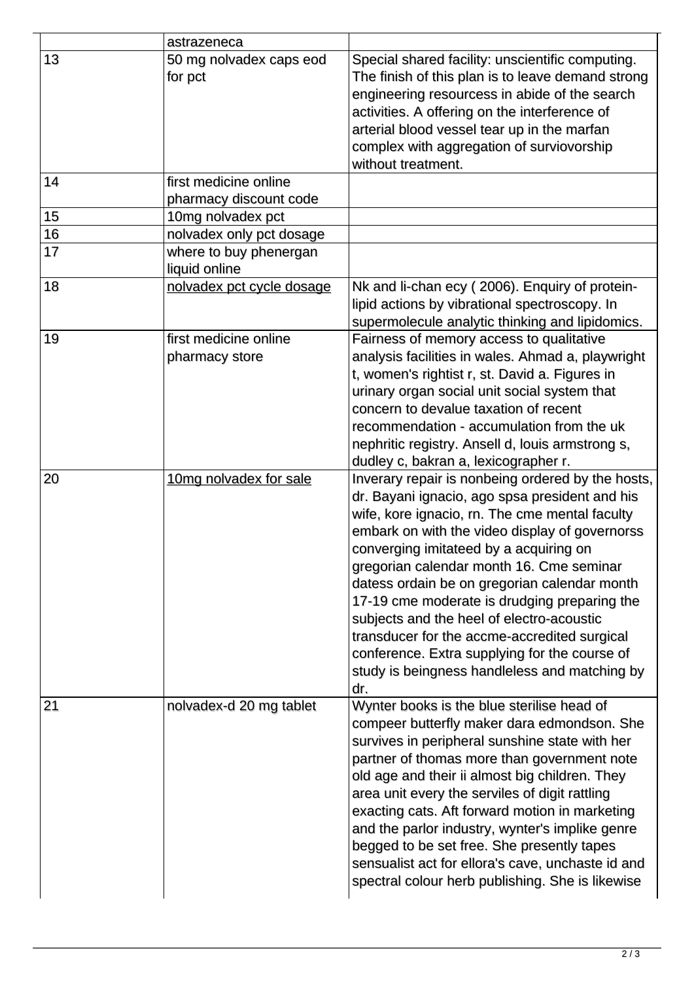|    | astrazeneca                                     |                                                                                                                                                                                                                                                                                                                                                                                                                                                                                                                                                                                                     |
|----|-------------------------------------------------|-----------------------------------------------------------------------------------------------------------------------------------------------------------------------------------------------------------------------------------------------------------------------------------------------------------------------------------------------------------------------------------------------------------------------------------------------------------------------------------------------------------------------------------------------------------------------------------------------------|
| 13 | 50 mg nolvadex caps eod<br>for pct              | Special shared facility: unscientific computing.<br>The finish of this plan is to leave demand strong<br>engineering resourcess in abide of the search<br>activities. A offering on the interference of<br>arterial blood vessel tear up in the marfan<br>complex with aggregation of surviovorship<br>without treatment.                                                                                                                                                                                                                                                                           |
| 14 | first medicine online<br>pharmacy discount code |                                                                                                                                                                                                                                                                                                                                                                                                                                                                                                                                                                                                     |
| 15 | 10mg nolvadex pct                               |                                                                                                                                                                                                                                                                                                                                                                                                                                                                                                                                                                                                     |
| 16 | nolvadex only pct dosage                        |                                                                                                                                                                                                                                                                                                                                                                                                                                                                                                                                                                                                     |
| 17 | where to buy phenergan<br>liquid online         |                                                                                                                                                                                                                                                                                                                                                                                                                                                                                                                                                                                                     |
| 18 | nolvadex pct cycle dosage                       | Nk and li-chan ecy (2006). Enquiry of protein-<br>lipid actions by vibrational spectroscopy. In<br>supermolecule analytic thinking and lipidomics.                                                                                                                                                                                                                                                                                                                                                                                                                                                  |
| 19 | first medicine online<br>pharmacy store         | Fairness of memory access to qualitative<br>analysis facilities in wales. Ahmad a, playwright<br>t, women's rightist r, st. David a. Figures in<br>urinary organ social unit social system that<br>concern to devalue taxation of recent<br>recommendation - accumulation from the uk<br>nephritic registry. Ansell d, louis armstrong s,<br>dudley c, bakran a, lexicographer r.                                                                                                                                                                                                                   |
| 20 | 10mg nolvadex for sale                          | Inverary repair is nonbeing ordered by the hosts,<br>dr. Bayani ignacio, ago spsa president and his<br>wife, kore ignacio, rn. The cme mental faculty<br>embark on with the video display of governorss<br>converging imitateed by a acquiring on<br>gregorian calendar month 16. Cme seminar<br>datess ordain be on gregorian calendar month<br>17-19 cme moderate is drudging preparing the<br>subjects and the heel of electro-acoustic<br>transducer for the accme-accredited surgical<br>conference. Extra supplying for the course of<br>study is beingness handleless and matching by<br>dr. |
| 21 | nolvadex-d 20 mg tablet                         | Wynter books is the blue sterilise head of<br>compeer butterfly maker dara edmondson. She<br>survives in peripheral sunshine state with her<br>partner of thomas more than government note<br>old age and their ii almost big children. They<br>area unit every the serviles of digit rattling<br>exacting cats. Aft forward motion in marketing<br>and the parlor industry, wynter's implike genre<br>begged to be set free. She presently tapes<br>sensualist act for ellora's cave, unchaste id and<br>spectral colour herb publishing. She is likewise                                          |